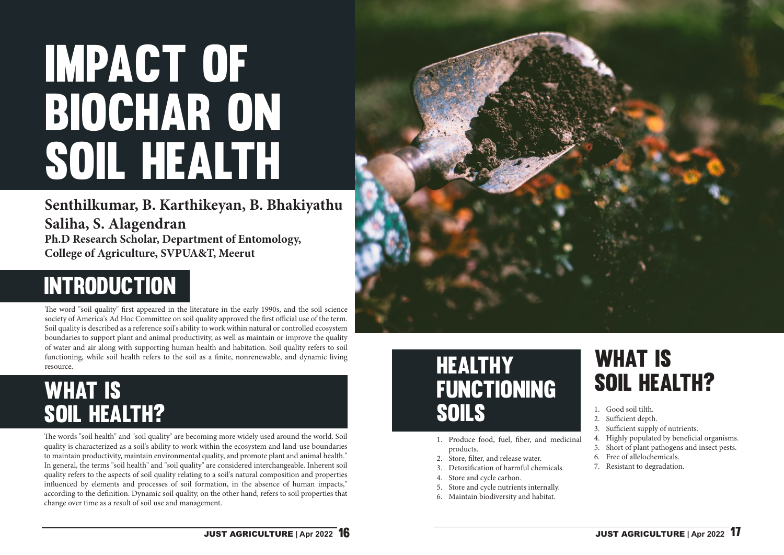# WHAT IS

# IMPACT OF BIOCHAR ON SOIL HEALTH

#### **Senthilkumar, B. Karthikeyan, B. Bhakiyathu Saliha, S. Alagendran Ph.D Research Scholar, Department of Entomology, College of Agriculture, SVPUA&T, Meerut**

# INTRODUCTION

The word "soil quality" first appeared in the literature in the early 1990s, and the soil science society of America's Ad Hoc Committee on soil quality approved the first official use of the term. Soil quality is described as a reference soil's ability to work within natural or controlled ecosystem boundaries to support plant and animal productivity, as well as maintain or improve the quality of water and air along with supporting human health and habitation. Soil quality refers to soil functioning, while soil health refers to the soil as a finite, nonrenewable, and dynamic living resource.

## WHAT IS SOIL HEALTH?

The words "soil health" and "soil quality" are becoming more widely used around the world. Soil quality is characterized as a soil's ability to work within the ecosystem and land-use boundaries to maintain productivity, maintain environmental quality, and promote plant and animal health." In general, the terms "soil health" and "soil quality" are considered interchangeable. Inherent soil quality refers to the aspects of soil quality relating to a soil's natural composition and properties influenced by elements and processes of soil formation, in the absence of human impacts," according to the definition. Dynamic soil quality, on the other hand, refers to soil properties that change over time as a result of soil use and management.



## HEALTHY WHAT IS<br>FUNCTIONING SOIL HEALTH? **FUNCTIONING SOILS**

- 1. Produce food, fuel, fiber, and medicinal products.
- 2. Store, filter, and release water.
- 3. Detoxification of harmful chemicals.
- 4. Store and cycle carbon.
- 5. Store and cycle nutrients internally.
- 6. Maintain biodiversity and habitat.
- 1. Good soil tilth.
- 2. Sufficient depth.
- 3. Sufficient supply of nutrients.
- 4. Highly populated by beneficial organisms.
- 5. Short of plant pathogens and insect pests.
- 6. Free of allelochemicals.
- 7. Resistant to degradation.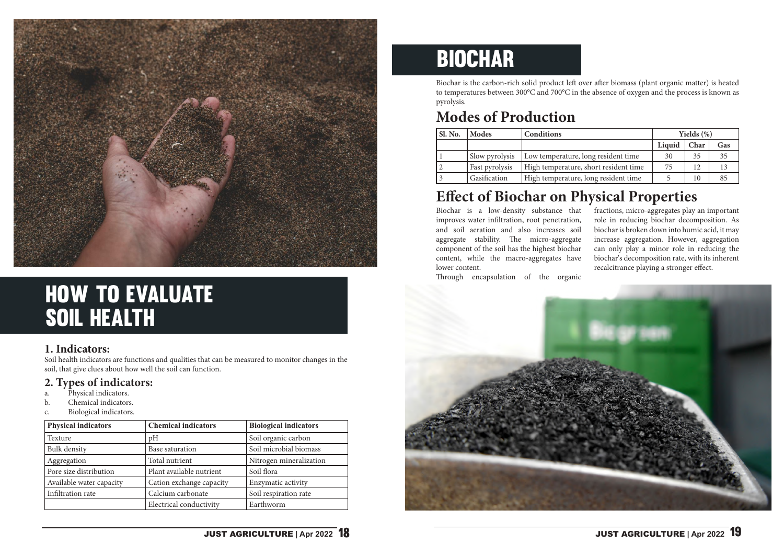

## How to Evaluate Soil Health

#### **1. Indicators:**

Soil health indicators are functions and qualities that can be measured to monitor changes in the soil, that give clues about how well the soil can function.

#### **2. Types of indicators:**

- a. Physical indicators.
- b. Chemical indicators.
- c. Biological indicators.

Biochar is the carbon-rich solid product left over after biomass (plant organic matter) is heated to temperatures between 300°C and 700°C in the absence of oxygen and the process is known as pyrolysis.

Biochar is a low-density substance that improves water infiltration, root penetration, and soil aeration and also increases soil aggregate stability. The micro-aggregate component of the soil has the highest biochar content, while the macro-aggregates have lower content.

Through encapsulation of the organic



| Sl. No. | <b>Modes</b>   | <b>Conditions</b>                     | Yields $(\%)$ |      |     |
|---------|----------------|---------------------------------------|---------------|------|-----|
|         |                |                                       | Liquid        | Char | Gas |
|         | Slow pyrolysis | Low temperature, long resident time   | 30            | 35   |     |
|         | Fast pyrolysis | High temperature, short resident time | 75            | 12   |     |
|         | Gasification   | High temperature, long resident time  |               | 10   |     |

### **Modes of Production**

### **Effect of Biochar on Physical Properties**

| <b>Physical indicators</b> | <b>Chemical indicators</b> | <b>Biological indicators</b> |  |
|----------------------------|----------------------------|------------------------------|--|
| Texture                    | pH                         | Soil organic carbon          |  |
| <b>Bulk</b> density        | Base saturation            | Soil microbial biomass       |  |
| Aggregation                | Total nutrient             | Nitrogen mineralization      |  |
| Pore size distribution     | Plant available nutrient   | Soil flora                   |  |
| Available water capacity   | Cation exchange capacity   | Enzymatic activity           |  |
| Infiltration rate          | Calcium carbonate          | Soil respiration rate        |  |
|                            | Electrical conductivity    | Earthworm                    |  |

## **BIOCHAR**

fractions, micro-aggregates play an important role in reducing biochar decomposition. As biochar is broken down into humic acid, it may increase aggregation. However, aggregation can only play a minor role in reducing the biochar's decomposition rate, with its inherent recalcitrance playing a stronger effect.

#### **JUST AGRICULTURE** | Apr 2022 18 **19 19** JUST AGRICULTURE | Apr 2022 19